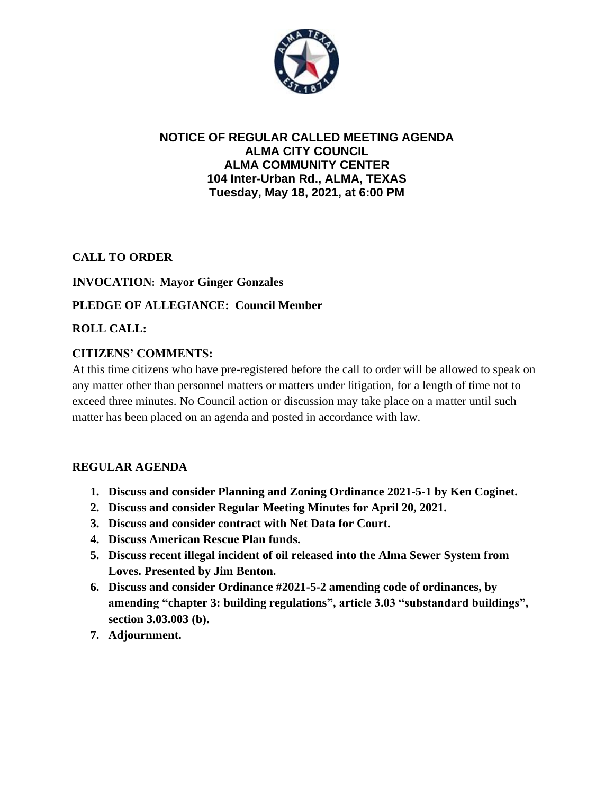

## **NOTICE OF REGULAR CALLED MEETING AGENDA ALMA CITY COUNCIL ALMA COMMUNITY CENTER 104 Inter-Urban Rd., ALMA, TEXAS Tuesday, May 18, 2021, at 6:00 PM**

## **CALL TO ORDER**

## **INVOCATION: Mayor Ginger Gonzales**

# **PLEDGE OF ALLEGIANCE: Council Member**

## **ROLL CALL:**

## **CITIZENS' COMMENTS:**

At this time citizens who have pre-registered before the call to order will be allowed to speak on any matter other than personnel matters or matters under litigation, for a length of time not to exceed three minutes. No Council action or discussion may take place on a matter until such matter has been placed on an agenda and posted in accordance with law.

## **REGULAR AGENDA**

- **1. Discuss and consider Planning and Zoning Ordinance 2021-5-1 by Ken Coginet.**
- **2. Discuss and consider Regular Meeting Minutes for April 20, 2021.**
- **3. Discuss and consider contract with Net Data for Court.**
- **4. Discuss American Rescue Plan funds.**
- **5. Discuss recent illegal incident of oil released into the Alma Sewer System from Loves. Presented by Jim Benton.**
- **6. Discuss and consider Ordinance #2021-5-2 amending code of ordinances, by amending "chapter 3: building regulations", article 3.03 "substandard buildings", section 3.03.003 (b).**
- **7. Adjournment.**